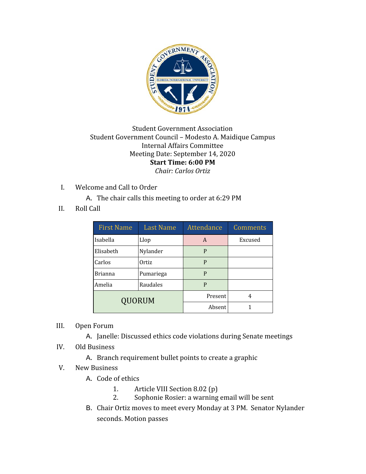

## Student Government Association Student Government Council – Modesto A. Maidique Campus Internal Affairs Committee Meeting Date: September 14, 2020 **Start Time: 6:00 PM** *Chair: Carlos Ortiz*

- I. Welcome and Call to Order
	- A. The chair calls this meeting to order at 6:29 PM
- II. Roll Call

| <b>First Name</b> | <b>Last Name</b> | <b>Attendance</b> | <b>Comments</b> |
|-------------------|------------------|-------------------|-----------------|
| Isabella          | Llop             | A                 | Excused         |
| Elisabeth         | Nylander         | P                 |                 |
| Carlos            | Ortiz            | P                 |                 |
| <b>Brianna</b>    | Pumariega        | P                 |                 |
| Amelia            | Raudales         | P                 |                 |
| QUORUM            |                  | Present           | 4               |
|                   |                  | Absent            |                 |

- III. Open Forum
	- A. Janelle: Discussed ethics code violations during Senate meetings
- IV. Old Business
	- A. Branch requirement bullet points to create a graphic
- V. New Business
	- A. Code of ethics
		- 1. Article VIII Section 8.02 (p)
		- 2. Sophonie Rosier: a warning email will be sent
	- B. Chair Ortiz moves to meet every Monday at 3 PM. Senator Nylander seconds. Motion passes